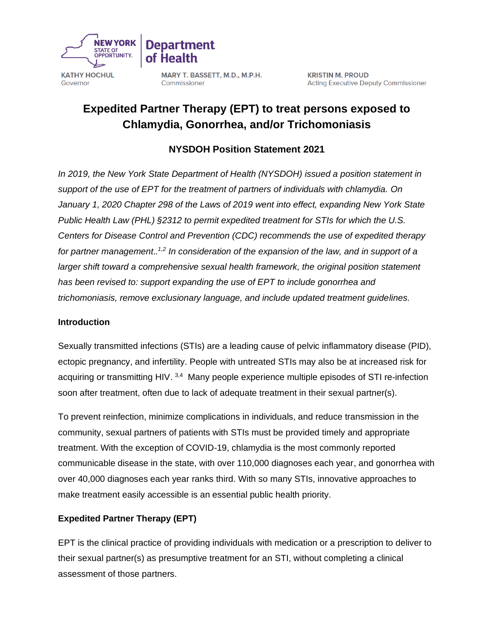

MARY T. BASSETT, M.D., M.P.H. Commissioner

**Department** 

# **Expedited Partner Therapy (EPT) to treat persons exposed to Chlamydia, Gonorrhea, and/or Trichomoniasis**

### **NYSDOH Position Statement 2021**

*In 2019, the New York State Department of Health (NYSDOH) issued a position statement in support of the use of EPT for the treatment of partners of individuals with chlamydia. On January 1, 2020 Chapter 298 of the Laws of 2019 went into effect, expanding New York State Public Health Law (PHL) §2312 to permit expedited treatment for STIs for which the U.S. Centers for Disease Control and Prevention (CDC) recommends the use of expedited therapy for partner management.. 1,2 In consideration of the expansion of the law, and in support of a*  larger shift toward a comprehensive sexual health framework, the original position statement *has been revised to: support expanding the use of EPT to include gonorrhea and trichomoniasis, remove exclusionary language, and include updated treatment guidelines.*

#### **Introduction**

Sexually transmitted infections (STIs) are a leading cause of pelvic inflammatory disease (PID), ectopic pregnancy, and infertility. People with untreated STIs may also be at increased risk for acquiring or transmitting HIV. 3,4 Many people experience multiple episodes of STI re-infection soon after treatment, often due to lack of adequate treatment in their sexual partner(s).

To prevent reinfection, minimize complications in individuals, and reduce transmission in the community, sexual partners of patients with STIs must be provided timely and appropriate treatment. With the exception of COVID-19, chlamydia is the most commonly reported communicable disease in the state, with over 110,000 diagnoses each year, and gonorrhea with over 40,000 diagnoses each year ranks third. With so many STIs, innovative approaches to make treatment easily accessible is an essential public health priority.

#### **Expedited Partner Therapy (EPT)**

EPT is the clinical practice of providing individuals with medication or a prescription to deliver to their sexual partner(s) as presumptive treatment for an STI, without completing a clinical assessment of those partners.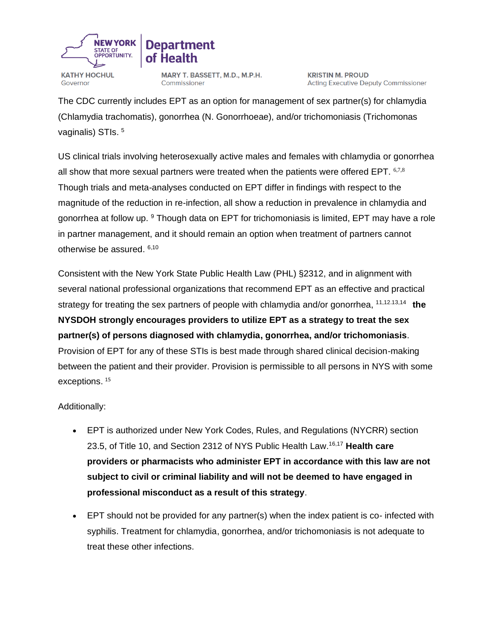

# **Department**

**KATHY HOCHUL** Governor

MARY T. BASSETT, M.D., M.P.H. Commissioner

**KRISTIN M. PROUD Acting Executive Deputy Commissioner** 

The CDC currently includes EPT as an option for management of sex partner(s) for chlamydia (Chlamydia trachomatis), gonorrhea (N. Gonorrhoeae), and/or trichomoniasis (Trichomonas vaginalis) STIs.<sup>5</sup>

US clinical trials involving heterosexually active males and females with chlamydia or gonorrhea all show that more sexual partners were treated when the patients were offered EPT. 6,7,8 Though trials and meta-analyses conducted on EPT differ in findings with respect to the magnitude of the reduction in re-infection, all show a reduction in prevalence in chlamydia and gonorrhea at follow up. <sup>9</sup> Though data on EPT for trichomoniasis is limited, EPT may have a role in partner management, and it should remain an option when treatment of partners cannot otherwise be assured. 6,10

Consistent with the New York State Public Health Law (PHL) §2312, and in alignment with several national professional organizations that recommend EPT as an effective and practical strategy for treating the sex partners of people with chlamydia and/or gonorrhea, <sup>11,12.13,14</sup> the **NYSDOH strongly encourages providers to utilize EPT as a strategy to treat the sex partner(s) of persons diagnosed with chlamydia, gonorrhea, and/or trichomoniasis**. Provision of EPT for any of these STIs is best made through shared clinical decision-making between the patient and their provider. Provision is permissible to all persons in NYS with some exceptions. <sup>15</sup>

#### Additionally:

- EPT is authorized under New York Codes, Rules, and Regulations (NYCRR) section 23.5, of Title 10, and Section 2312 of NYS Public Health Law.16,17 **Health care providers or pharmacists who administer EPT in accordance with this law are not subject to civil or criminal liability and will not be deemed to have engaged in professional misconduct as a result of this strategy**.
- EPT should not be provided for any partner(s) when the index patient is co- infected with syphilis. Treatment for chlamydia, gonorrhea, and/or trichomoniasis is not adequate to treat these other infections.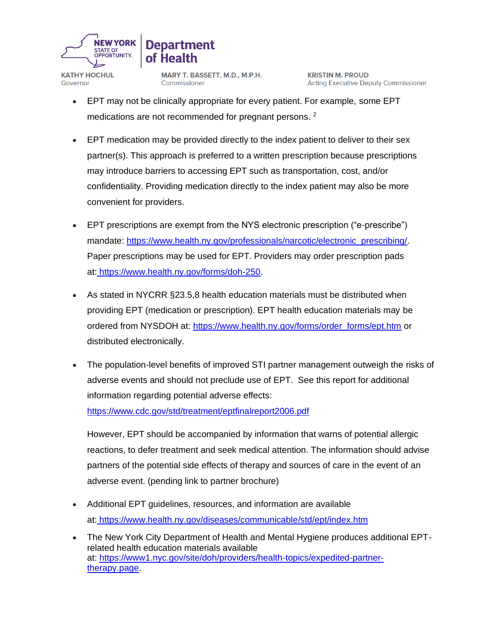

## **Department** of Health

**KATHY HOCHUL** Governor

MARY T. BASSETT, M.D., M.P.H. Commissioner

**KRISTIN M. PROUD Acting Executive Deputy Commissioner** 

- EPT may not be clinically appropriate for every patient. For example, some EPT medications are not recommended for pregnant persons. <sup>2</sup>
- EPT medication may be provided directly to the index patient to deliver to their sex partner(s). This approach is preferred to a written prescription because prescriptions may introduce barriers to accessing EPT such as transportation, cost, and/or confidentiality. Providing medication directly to the index patient may also be more convenient for providers.
- EPT prescriptions are exempt from the NYS electronic prescription ("e-prescribe") mandate: https://www.health.ny.gov/professionals/narcotic/electronic\_prescribing/ Paper prescriptions may be used for EPT. Providers may order prescription pads at: [https://www.health.ny.gov/forms/doh-250.](https://www.health.ny.gov/forms/doh-250)
- As stated in NYCRR §23.5,8 health education materials must be distributed when providing EPT (medication or prescription). EPT health education materials may be ordered from NYSDOH at: [https://www.health.ny.gov/forms/order\\_forms/ept.htm](https://www.health.ny.gov/forms/order_forms/ept.htm) or distributed electronically.
- The population-level benefits of improved STI partner management outweigh the risks of adverse events and should not preclude use of EPT. See this report for additional information regarding potential adverse effects:

<https://www.cdc.gov/std/treatment/eptfinalreport2006.pdf>

However, EPT should be accompanied by information that warns of potential allergic reactions, to defer treatment and seek medical attention. The information should advise partners of the potential side effects of therapy and sources of care in the event of an adverse event. (pending link to partner brochure)

- Additional EPT guidelines, resources, and information are available at: <https://www.health.ny.gov/diseases/communicable/std/ept/index.htm>
- The New York City Department of Health and Mental Hygiene produces additional EPTrelated health education materials available at: [https://www1.nyc.gov/site/doh/providers/health-topics/expedited-partner](https://www1.nyc.gov/site/doh/providers/health-topics/expedited-partner-therapy.page)[therapy.page.](https://www1.nyc.gov/site/doh/providers/health-topics/expedited-partner-therapy.page)